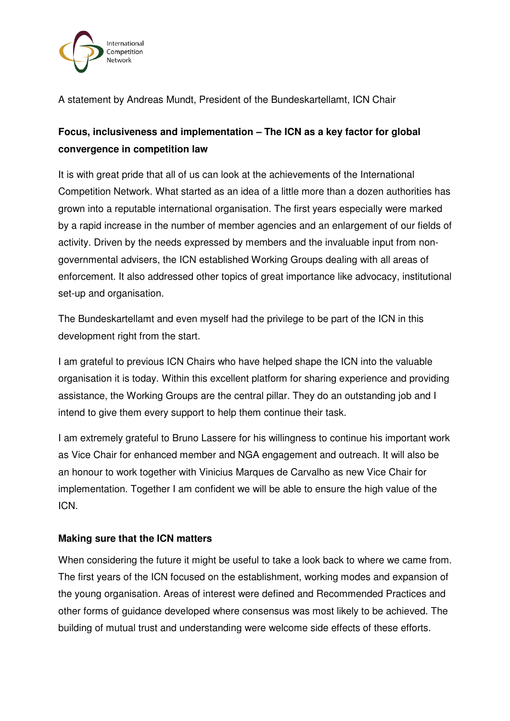

A statement by Andreas Mundt, President of the Bundeskartellamt, ICN Chair

# **Focus, inclusiveness and implementation – The ICN as a key factor for global convergence in competition law**

It is with great pride that all of us can look at the achievements of the International Competition Network. What started as an idea of a little more than a dozen authorities has grown into a reputable international organisation. The first years especially were marked by a rapid increase in the number of member agencies and an enlargement of our fields of activity. Driven by the needs expressed by members and the invaluable input from nongovernmental advisers, the ICN established Working Groups dealing with all areas of enforcement. It also addressed other topics of great importance like advocacy, institutional set-up and organisation.

The Bundeskartellamt and even myself had the privilege to be part of the ICN in this development right from the start.

I am grateful to previous ICN Chairs who have helped shape the ICN into the valuable organisation it is today. Within this excellent platform for sharing experience and providing assistance, the Working Groups are the central pillar. They do an outstanding job and I intend to give them every support to help them continue their task.

I am extremely grateful to Bruno Lassere for his willingness to continue his important work as Vice Chair for enhanced member and NGA engagement and outreach. It will also be an honour to work together with Vinicius Marques de Carvalho as new Vice Chair for implementation. Together I am confident we will be able to ensure the high value of the ICN.

# **Making sure that the ICN matters**

When considering the future it might be useful to take a look back to where we came from. The first years of the ICN focused on the establishment, working modes and expansion of the young organisation. Areas of interest were defined and Recommended Practices and other forms of guidance developed where consensus was most likely to be achieved. The building of mutual trust and understanding were welcome side effects of these efforts.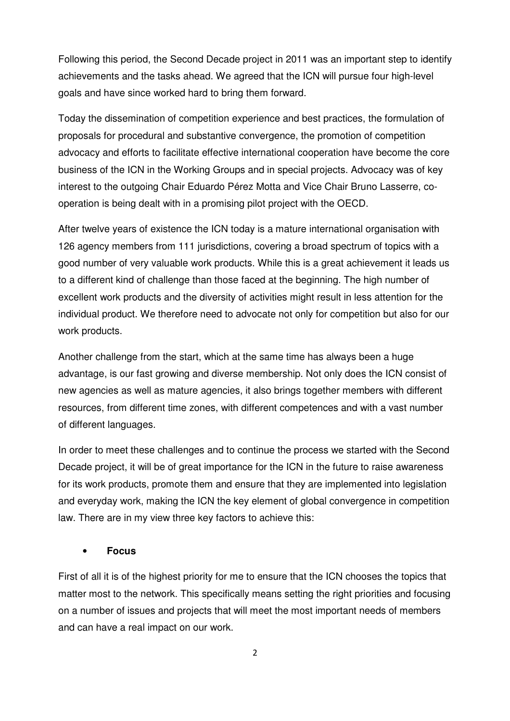Following this period, the Second Decade project in 2011 was an important step to identify achievements and the tasks ahead. We agreed that the ICN will pursue four high-level goals and have since worked hard to bring them forward.

Today the dissemination of competition experience and best practices, the formulation of proposals for procedural and substantive convergence, the promotion of competition advocacy and efforts to facilitate effective international cooperation have become the core business of the ICN in the Working Groups and in special projects. Advocacy was of key interest to the outgoing Chair Eduardo Pérez Motta and Vice Chair Bruno Lasserre, cooperation is being dealt with in a promising pilot project with the OECD.

After twelve years of existence the ICN today is a mature international organisation with 126 agency members from 111 jurisdictions, covering a broad spectrum of topics with a good number of very valuable work products. While this is a great achievement it leads us to a different kind of challenge than those faced at the beginning. The high number of excellent work products and the diversity of activities might result in less attention for the individual product. We therefore need to advocate not only for competition but also for our work products.

Another challenge from the start, which at the same time has always been a huge advantage, is our fast growing and diverse membership. Not only does the ICN consist of new agencies as well as mature agencies, it also brings together members with different resources, from different time zones, with different competences and with a vast number of different languages.

In order to meet these challenges and to continue the process we started with the Second Decade project, it will be of great importance for the ICN in the future to raise awareness for its work products, promote them and ensure that they are implemented into legislation and everyday work, making the ICN the key element of global convergence in competition law. There are in my view three key factors to achieve this:

## • **Focus**

First of all it is of the highest priority for me to ensure that the ICN chooses the topics that matter most to the network. This specifically means setting the right priorities and focusing on a number of issues and projects that will meet the most important needs of members and can have a real impact on our work.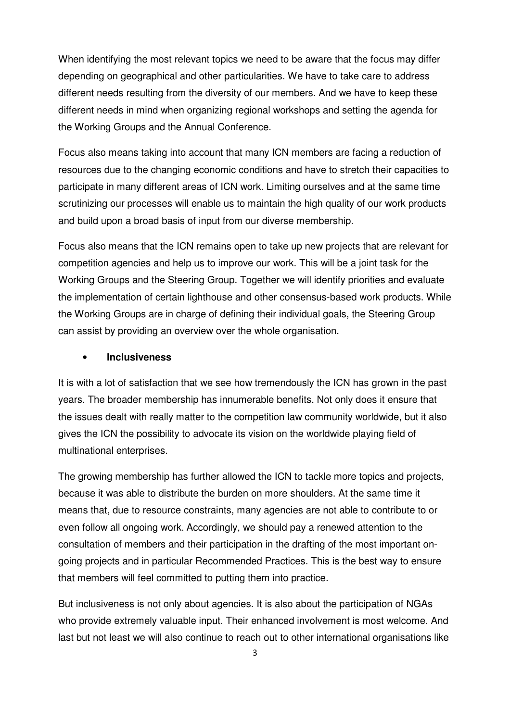When identifying the most relevant topics we need to be aware that the focus may differ depending on geographical and other particularities. We have to take care to address different needs resulting from the diversity of our members. And we have to keep these different needs in mind when organizing regional workshops and setting the agenda for the Working Groups and the Annual Conference.

Focus also means taking into account that many ICN members are facing a reduction of resources due to the changing economic conditions and have to stretch their capacities to participate in many different areas of ICN work. Limiting ourselves and at the same time scrutinizing our processes will enable us to maintain the high quality of our work products and build upon a broad basis of input from our diverse membership.

Focus also means that the ICN remains open to take up new projects that are relevant for competition agencies and help us to improve our work. This will be a joint task for the Working Groups and the Steering Group. Together we will identify priorities and evaluate the implementation of certain lighthouse and other consensus-based work products. While the Working Groups are in charge of defining their individual goals, the Steering Group can assist by providing an overview over the whole organisation.

#### • **Inclusiveness**

It is with a lot of satisfaction that we see how tremendously the ICN has grown in the past years. The broader membership has innumerable benefits. Not only does it ensure that the issues dealt with really matter to the competition law community worldwide, but it also gives the ICN the possibility to advocate its vision on the worldwide playing field of multinational enterprises.

The growing membership has further allowed the ICN to tackle more topics and projects, because it was able to distribute the burden on more shoulders. At the same time it means that, due to resource constraints, many agencies are not able to contribute to or even follow all ongoing work. Accordingly, we should pay a renewed attention to the consultation of members and their participation in the drafting of the most important ongoing projects and in particular Recommended Practices. This is the best way to ensure that members will feel committed to putting them into practice.

But inclusiveness is not only about agencies. It is also about the participation of NGAs who provide extremely valuable input. Their enhanced involvement is most welcome. And last but not least we will also continue to reach out to other international organisations like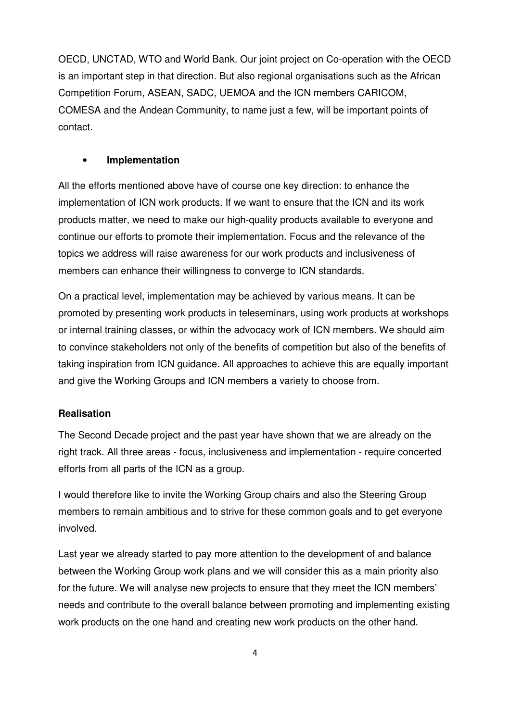OECD, UNCTAD, WTO and World Bank. Our joint project on Co-operation with the OECD is an important step in that direction. But also regional organisations such as the African Competition Forum, ASEAN, SADC, UEMOA and the ICN members CARICOM, COMESA and the Andean Community, to name just a few, will be important points of contact.

# • **Implementation**

All the efforts mentioned above have of course one key direction: to enhance the implementation of ICN work products. If we want to ensure that the ICN and its work products matter, we need to make our high-quality products available to everyone and continue our efforts to promote their implementation. Focus and the relevance of the topics we address will raise awareness for our work products and inclusiveness of members can enhance their willingness to converge to ICN standards.

On a practical level, implementation may be achieved by various means. It can be promoted by presenting work products in teleseminars, using work products at workshops or internal training classes, or within the advocacy work of ICN members. We should aim to convince stakeholders not only of the benefits of competition but also of the benefits of taking inspiration from ICN guidance. All approaches to achieve this are equally important and give the Working Groups and ICN members a variety to choose from.

## **Realisation**

The Second Decade project and the past year have shown that we are already on the right track. All three areas - focus, inclusiveness and implementation - require concerted efforts from all parts of the ICN as a group.

I would therefore like to invite the Working Group chairs and also the Steering Group members to remain ambitious and to strive for these common goals and to get everyone involved.

Last year we already started to pay more attention to the development of and balance between the Working Group work plans and we will consider this as a main priority also for the future. We will analyse new projects to ensure that they meet the ICN members' needs and contribute to the overall balance between promoting and implementing existing work products on the one hand and creating new work products on the other hand.